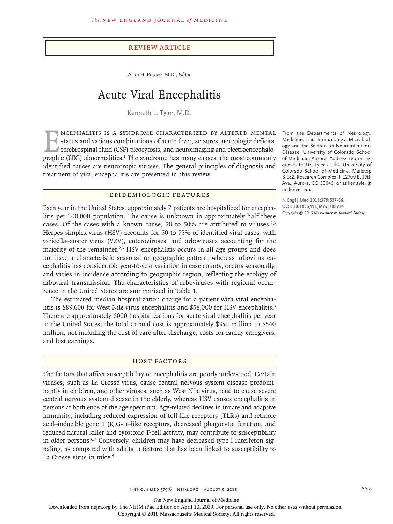#### Review Article

Allan H. Ropper, M.D., *Editor*

# Acute Viral Encephalitis

Kenneth L. Tyler, M.D.

NCEPHALITIS IS A SYNDROME CHARACTERIZED BY ALTERED MENTAL<br>status and various combinations of acute fever, seizures, neurologic deficits,<br>cerebrospinal fluid (CSF) pleocytosis, and neuroimaging and electroencephalo-<br>graphic status and various combinations of acute fever, seizures, neurologic deficits, cerebrospinal fluid (CSF) pleocytosis, and neuroimaging and electroencephalographic (EEG) abnormalities.<sup>1</sup> The syndrome has many causes; the most commonly identified causes are neurotropic viruses. The general principles of diagnosis and treatment of viral encephalitis are presented in this review.

#### Epidemiologic Features

Each year in the United States, approximately 7 patients are hospitalized for encephalitis per 100,000 population. The cause is unknown in approximately half these cases. Of the cases with a known cause, 20 to 50% are attributed to viruses.<sup>2,3</sup> Herpes simplex virus (HSV) accounts for 50 to 75% of identified viral cases, with varicella–zoster virus (VZV), enteroviruses, and arboviruses accounting for the majority of the remainder. $2.3$  HSV encephalitis occurs in all age groups and does not have a characteristic seasonal or geographic pattern, whereas arbovirus encephalitis has considerable year-to-year variation in case counts, occurs seasonally, and varies in incidence according to geographic region, reflecting the ecology of arboviral transmission. The characteristics of arboviruses with regional occurrence in the United States are summarized in Table 1.

The estimated median hospitalization charge for a patient with viral encephalitis is \$89,600 for West Nile virus encephalitis and \$58,000 for HSV encephalitis.<sup>3</sup> There are approximately 6000 hospitalizations for acute viral encephalitis per year in the United States; the total annual cost is approximately \$350 million to \$540 million, not including the cost of care after discharge, costs for family caregivers, and lost earnings.

# HOST FACTORS

The factors that affect susceptibility to encephalitis are poorly understood. Certain viruses, such as La Crosse virus, cause central nervous system disease predominantly in children, and other viruses, such as West Nile virus, tend to cause severe central nervous system disease in the elderly, whereas HSV causes encephalitis in persons at both ends of the age spectrum. Age-related declines in innate and adaptive immunity, including reduced expression of toll-like receptors (TLRs) and retinoic acid–inducible gene 1 (RIG-I)–like receptors, decreased phagocytic function, and reduced natural killer and cytotoxic T-cell activity, may contribute to susceptibility in older persons.<sup>6,7</sup> Conversely, children may have decreased type I interferon signaling, as compared with adults, a feature that has been linked to susceptibility to La Crosse virus in mice.<sup>8</sup>

From the Departments of Neurology, Medicine, and Immunology–Microbiology and the Section on Neuroinfectious Disease, University of Colorado School of Medicine, Aurora. Address reprint requests to Dr. Tyler at the University of Colorado School of Medicine, Mailstop B-182, Research Complex II, 12700 E. 19th Ave., Aurora, CO 80045, or at ken.tyler@ ucdenver.edu.

**N Engl J Med 2018;379:557-66. DOI: 10.1056/NEJMra1708714** *Copyright © 2018 Massachusetts Medical Society.*

The New England Journal of Medicine

Downloaded from nejm.org by The NEJM iPad Edition on April 10, 2019. For personal use only. No other uses without permission.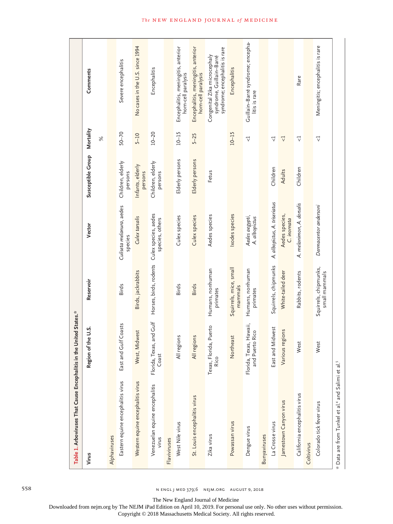| Table 1. Arboviruses That Cause Encephalitis in the United States.*       |                                            |                                        |                                         |                              |                       |                                                                                            |
|---------------------------------------------------------------------------|--------------------------------------------|----------------------------------------|-----------------------------------------|------------------------------|-----------------------|--------------------------------------------------------------------------------------------|
| Virus                                                                     | Region of the U.S.                         | Reservoir                              | Vector                                  | Susceptible Group            | Mortality             | Comments                                                                                   |
|                                                                           |                                            |                                        |                                         |                              | $\%$                  |                                                                                            |
| Alphaviruses                                                              |                                            |                                        |                                         |                              |                       |                                                                                            |
| Eastern equine encephalitis virus                                         | East and Gulf Coasts                       | Birds                                  | Culiseta melanura, aedes<br>species     | Children, elderly<br>persons | $50 - 70$             | Severe encephalitis                                                                        |
| Western equine encephalitis virus                                         | Midwest<br>West, I                         | Birds, jackrabbits                     | Culex tarsalis                          | Infants, elderly<br>persons  | $5 - 10$              | No cases in the U.S. since 1994                                                            |
| Venezuelan equine encephalitis<br>virus                                   | Florida, Texas, and Gulf<br>Coast          | Horses, birds, rodents                 | Culex species, aedes<br>species, others | Children, elderly<br>persons | $10 - 20$             | Encephalitis                                                                               |
| Flaviviruses                                                              |                                            |                                        |                                         |                              |                       |                                                                                            |
| West Nile virus                                                           | suoia<br>$\frac{1}{2}$                     | <b>Birds</b>                           | Culex species                           | Elderly persons              | $10 - 15$             | Encephalitis, meningitis, anterior<br>horn-cell paralysis                                  |
| St. Louis encephalitis virus                                              | suoia<br>All re                            | <b>Birds</b>                           | Culex species                           | Elderly persons              | $5 - 25$              | Encephalitis, meningitis, anterior<br>horn-cell paralysis                                  |
| Zika virus                                                                | Texas, Florida, Puerto<br>Rico             | Humans, nonhuman<br>primates           | Aedes species                           | Fetus                        |                       | syndrome; encephalitis is rare<br>Congenital Zika microcephaly<br>syndrome, Guillain-Barré |
| Powassan virus                                                            | Northeast                                  | Squirrels, mice, small<br>mammals      | Ixodes species                          |                              | $10 - 15$             | Encephalitis                                                                               |
| Dengue virus                                                              | Florida, Texas, Hawaii,<br>and Puerto Rico | Humans, nonhuman<br>primates           | Aedes aegypti,<br>A. albopictus         |                              | $\triangledown$       | Guillain-Barré syndrome; encepha-<br>litis is rare                                         |
| Bunyaviruses                                                              |                                            |                                        |                                         |                              |                       |                                                                                            |
| La Crosse virus                                                           | East and Midwest                           | Squirrels, chipmunks                   | A. albopictus, A. triseriatus           | Children                     | $\triangledown$       |                                                                                            |
| Jamestown Canyon virus                                                    | Various regions                            | White-tailed deer                      | Aedes species,<br>C. inornata           | Adults                       | $\bigtriangledown$    |                                                                                            |
| California encephalitis virus                                             | est<br>≶                                   | Rabbits, rodents                       | A. melanimon, A. dorsalis               | Children                     | $\bigtriangledown$    | Rare                                                                                       |
| Coltivirus                                                                |                                            |                                        |                                         |                              |                       |                                                                                            |
| Colorado tick fever virus                                                 | lest<br>≥                                  | Squirrels, chipmunks,<br>small mammals | Dermacentor andersoni                   |                              | $\vec{\triangledown}$ | Meningitis; encephalitis is rare                                                           |
| * Data are from Tunkel et al. <sup>4</sup> and Salimi et al. <sup>5</sup> |                                            |                                        |                                         |                              |                       |                                                                                            |

558 n engl j med 379;6 nejm.org August 9, 2018

The New England Journal of Medicine

Downloaded from nejm.org by The NEJM iPad Edition on April 10, 2019. For personal use only. No other uses without permission.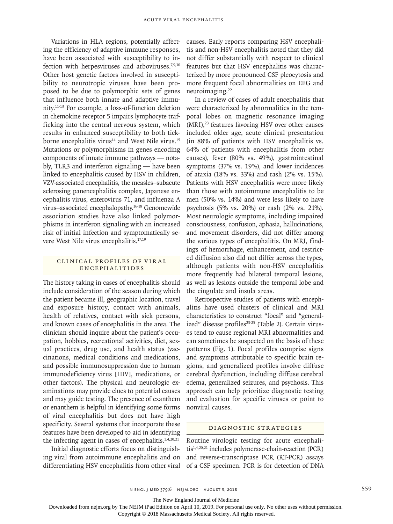Variations in HLA regions, potentially affecting the efficiency of adaptive immune responses, have been associated with susceptibility to infection with herpesviruses and arboviruses.<sup>7,9,10</sup> Other host genetic factors involved in susceptibility to neurotropic viruses have been proposed to be due to polymorphic sets of genes that influence both innate and adaptive immunity.11-13 For example, a loss-of-function deletion in chemokine receptor 5 impairs lymphocyte trafficking into the central nervous system, which results in enhanced susceptibility to both tickborne encephalitis virus<sup>14</sup> and West Nile virus.<sup>15</sup> Mutations or polymorphisms in genes encoding components of innate immune pathways — notably, TLR3 and interferon signaling — have been linked to encephalitis caused by HSV in children, VZV-associated encephalitis, the measles–subacute sclerosing panencephalitis complex, Japanese encephalitis virus, enterovirus 71, and influenza A virus–associated encephalopathy.16-18 Genomewide association studies have also linked polymorphisms in interferon signaling with an increased risk of initial infection and symptomatically severe West Nile virus encephalitis.17,19

# CLINICAL PROFILES OF VIRAL Encephalitides

The history taking in cases of encephalitis should include consideration of the season during which the patient became ill, geographic location, travel and exposure history, contact with animals, health of relatives, contact with sick persons, and known cases of encephalitis in the area. The clinician should inquire about the patient's occupation, hobbies, recreational activities, diet, sexual practices, drug use, and health status (vaccinations, medical conditions and medications, and possible immunosuppression due to human immunodeficiency virus [HIV], medications, or other factors). The physical and neurologic examinations may provide clues to potential causes and may guide testing. The presence of exanthem or enanthem is helpful in identifying some forms of viral encephalitis but does not have high specificity. Several systems that incorporate these features have been developed to aid in identifying the infecting agent in cases of encephalitis.1,4,20,21

Initial diagnostic efforts focus on distinguishing viral from autoimmune encephalitis and on differentiating HSV encephalitis from other viral causes. Early reports comparing HSV encephalitis and non-HSV encephalitis noted that they did not differ substantially with respect to clinical features but that HSV encephalitis was characterized by more pronounced CSF pleocytosis and more frequent focal abnormalities on EEG and neuroimaging.22

In a review of cases of adult encephalitis that were characterized by abnormalities in the temporal lobes on magnetic resonance imaging  $(MRI)$ ,<sup>23</sup> features favoring HSV over other causes included older age, acute clinical presentation (in 88% of patients with HSV encephalitis vs. 64% of patients with encephalitis from other causes), fever (80% vs. 49%), gastrointestinal symptoms (37% vs. 19%), and lower incidences of ataxia (18% vs. 33%) and rash (2% vs. 15%). Patients with HSV encephalitis were more likely than those with autoimmune encephalitis to be men (50% vs. 14%) and were less likely to have psychosis (5% vs. 20%) or rash (2% vs. 21%). Most neurologic symptoms, including impaired consciousness, confusion, aphasia, hallucinations, and movement disorders, did not differ among the various types of encephalitis. On MRI, findings of hemorrhage, enhancement, and restricted diffusion also did not differ across the types, although patients with non-HSV encephalitis more frequently had bilateral temporal lesions, as well as lesions outside the temporal lobe and the cingulate and insula areas.

Retrospective studies of patients with encephalitis have used clusters of clinical and MRI characteristics to construct "focal" and "generalized" disease profiles<sup>23-25</sup> (Table 2). Certain viruses tend to cause regional MRI abnormalities and can sometimes be suspected on the basis of these patterns (Fig. 1). Focal profiles comprise signs and symptoms attributable to specific brain regions, and generalized profiles involve diffuse cerebral dysfunction, including diffuse cerebral edema, generalized seizures, and psychosis. This approach can help prioritize diagnostic testing and evaluation for specific viruses or point to nonviral causes.

# Diagnostic Strategies

Routine virologic testing for acute encephalitis1,4,20,21 includes polymerase-chain-reaction (PCR) and reverse-transcriptase PCR (RT-PCR) assays of a CSF specimen. PCR is for detection of DNA

The New England Journal of Medicine

Downloaded from nejm.org by The NEJM iPad Edition on April 10, 2019. For personal use only. No other uses without permission.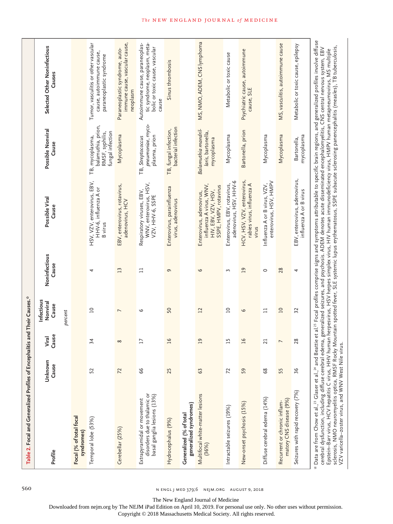|                                                                            | Selected Other Noninfectious<br>Causes |         |                                       | Tumor, vasculitis or other vascular<br>cause, autoimmune cause,<br>paraneoplastic syndrome | immune cause, vascular cause,<br>Paraneoplastic syndrome, auto-<br>neoplasm | Autoimmune cause, paraneoplas-<br>tic syndrome, neoplasm, meta-<br>bolic or toxic cause, vascular<br>cause | Sinus thrombosis                                |                                                   | MS, NMO, ADEM, CNS lymphoma                                                                         | Metabolic or toxic cause                               | Psychiatric cause, autoimmune<br>cause, SLE                       |                                                        | MS, vasculitis, autoimmune cause                        | Metabolic or toxic cause, epilepsy                      |                                                                                                                                                                                                                                                                                                                                                                                                                                                                                                                                                                                                                              |
|----------------------------------------------------------------------------|----------------------------------------|---------|---------------------------------------|--------------------------------------------------------------------------------------------|-----------------------------------------------------------------------------|------------------------------------------------------------------------------------------------------------|-------------------------------------------------|---------------------------------------------------|-----------------------------------------------------------------------------------------------------|--------------------------------------------------------|-------------------------------------------------------------------|--------------------------------------------------------|---------------------------------------------------------|---------------------------------------------------------|------------------------------------------------------------------------------------------------------------------------------------------------------------------------------------------------------------------------------------------------------------------------------------------------------------------------------------------------------------------------------------------------------------------------------------------------------------------------------------------------------------------------------------------------------------------------------------------------------------------------------|
|                                                                            | Possible Nonviral<br>Cause             |         |                                       | balamuthia, prion,<br>RMSF, syphilis,<br>fungal infection<br>TB, mycoplasma,               | Mycoplasma                                                                  | pneumoniae, myco-<br>plasma, prion<br>TB, Streptococcus                                                    | bacterial infection<br>TB, fungal infection,    |                                                   | Balamuthia mandril-<br>laris, bartonella,<br>mycoplasma                                             | Mycoplasma                                             | Bartonella, prion                                                 | Mycoplasma                                             | Mycoplasma                                              | mycoplasma<br>Bartonella,                               |                                                                                                                                                                                                                                                                                                                                                                                                                                                                                                                                                                                                                              |
|                                                                            | Possible Viral<br>Cause                |         |                                       | HSV, VZV, enterovirus, EBV,<br>HHV-6, influenza A or<br><b>B</b> virus                     | EBV, enterovirus, rotavirus,<br>adenovirus, HCV                             | WNV, enterovirus, HSV,<br>Respiratory viruses, EBV<br>VZV, HHV-6, SSPE                                     | Enterovirus, parainfluenza<br>virus, adenovirus |                                                   | influenza A virus, WNV,<br>SSPE, HMPV, rotavirus<br>HIV, EBV, VZV, HSV,<br>Enterovirus, adenovirus, | adenovirus, HSV, HHV-6<br>Enterovirus, EBV, rotavirus, | HCV, HSV, VZV, enterovirus,<br>rabies virus, influenza A<br>virus | enterovirus, HSV, HMPV<br>Influenza A or B virus, VZV, |                                                         | EBV, enterovirus, adenovirus,<br>influenza A or B virus | aattie et al. $^{25}$ Focal profiles comprise signs and symptoms attributable to specific brain regions, and generalized profiles involve diffuse                                                                                                                                                                                                                                                                                                                                                                                                                                                                            |
|                                                                            | Noninfectious<br>Cause                 |         |                                       | 4                                                                                          | $\mathbf{L}$                                                                | $\Box$                                                                                                     | 9                                               |                                                   | 6                                                                                                   | 3                                                      | $\overline{a}$                                                    | $\circ$                                                | 28                                                      | 4                                                       |                                                                                                                                                                                                                                                                                                                                                                                                                                                                                                                                                                                                                              |
|                                                                            | nfectious<br>Nonviral<br>Cause         | percent |                                       | $\overline{\phantom{0}}$                                                                   | $\overline{ }$                                                              | 6                                                                                                          | 50                                              |                                                   | 12                                                                                                  | $\overline{a}$                                         | 6                                                                 | $\Box$                                                 | $\overline{10}$                                         | 32                                                      |                                                                                                                                                                                                                                                                                                                                                                                                                                                                                                                                                                                                                              |
|                                                                            | Cause<br>Viral                         |         |                                       | 34                                                                                         | $\infty$                                                                    | $\overline{17}$                                                                                            | $\overline{16}$                                 |                                                   | $\overline{0}$                                                                                      | $\overline{15}$                                        | $\overline{16}$                                                   | 21                                                     | $\overline{ }$                                          | 28                                                      |                                                                                                                                                                                                                                                                                                                                                                                                                                                                                                                                                                                                                              |
|                                                                            | Unknown<br>Cause                       |         |                                       | 52                                                                                         | 72                                                                          | 99                                                                                                         | 25                                              |                                                   | 63                                                                                                  | 72                                                     | 59                                                                | 89                                                     | 55                                                      | 36                                                      |                                                                                                                                                                                                                                                                                                                                                                                                                                                                                                                                                                                                                              |
| Table 2. Focal and Generalized Profiles of Encephalitis and Their Causes.* | Profile                                |         | Focal (% of total focal<br>syndromes) | Temporal lobe (53%)                                                                        | Cerebellar (25%)                                                            | disorders due to thalamic or<br>basal ganglia lesions (13%)<br>Extrapyramidal or movement                  | Hydrocephalus (9%)                              | generalized syndromes)<br>Generalized (% of total | Multifocal white-matter lesions<br>(36%)                                                            | Intractable seizures (19%)                             | New-onset psychosis (15%)                                         | Diffuse cerebral edema (14%)                           | matory CNS disease (9%)<br>Recurrent or chronic inflam- | Seizures with rapid recovery (7%)                       | sclerosis, NMO neuromyelitis optica, RMSF Rocky Mountain spotted fever, SLE systemic lupus erythematosus, SSPE subacute sclerosing panencephalitis (measles), TB tuberculosis,<br>cerebral dysfunction, including diffuse cerebral edema, generalized seizures, and psychosis. ADEM denotes acute disseminated encephalomyelitis, CNS central nervous system, EBV<br>Epstein–Barr virus, HCV hepatitis C virus, HHV human herpesvirus, HSV herpes simplex virus, HIV human immunodeficiency virus, HMPV human metapneumovirus, MS multiple<br>* Data are from Chow et al., <sup>23</sup> Glaser et al., <sup>24</sup> and Be |

560 **n engl j med 379;6 NEJM.ORG AUGUST 9, 2018** 

The New England Journal of Medicine

Downloaded from nejm.org by The NEJM iPad Edition on April 10, 2019. For personal use only. No other uses without permission.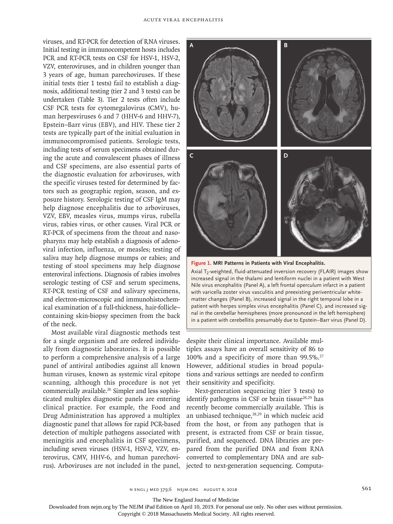viruses, and RT-PCR for detection of RNA viruses. Initial testing in immunocompetent hosts includes PCR and RT-PCR tests on CSF for HSV-1, HSV-2, VZV, enteroviruses, and in children younger than 3 years of age, human parechoviruses. If these initial tests (tier 1 tests) fail to establish a diagnosis, additional testing (tier 2 and 3 tests) can be undertaken (Table 3). Tier 2 tests often include CSF PCR tests for cytomegalovirus (CMV), human herpesviruses 6 and 7 (HHV-6 and HHV-7), Epstein–Barr virus (EBV), and HIV. These tier 2 tests are typically part of the initial evaluation in immunocompromised patients. Serologic tests, including tests of serum specimens obtained during the acute and convalescent phases of illness and CSF specimens, are also essential parts of the diagnostic evaluation for arboviruses, with the specific viruses tested for determined by factors such as geographic region, season, and exposure history. Serologic testing of CSF IgM may help diagnose encephalitis due to arboviruses, VZV, EBV, measles virus, mumps virus, rubella virus, rabies virus, or other causes. Viral PCR or RT-PCR of specimens from the throat and nasopharynx may help establish a diagnosis of adenoviral infection, influenza, or measles; testing of saliva may help diagnose mumps or rabies; and testing of stool specimens may help diagnose enteroviral infections. Diagnosis of rabies involves serologic testing of CSF and serum specimens, RT-PCR testing of CSF and salivary specimens, and electron-microscopic and immunohistochemical examination of a full-thickness, hair-follicle– containing skin-biopsy specimen from the back of the neck.

Most available viral diagnostic methods test for a single organism and are ordered individually from diagnostic laboratories. It is possible to perform a comprehensive analysis of a large panel of antiviral antibodies against all known human viruses, known as systemic viral epitope scanning, although this procedure is not yet commercially available.26 Simpler and less sophisticated multiplex diagnostic panels are entering clinical practice. For example, the Food and Drug Administration has approved a multiplex diagnostic panel that allows for rapid PCR-based detection of multiple pathogens associated with meningitis and encephalitis in CSF specimens, including seven viruses (HSV-1, HSV-2, VZV, enterovirus, CMV, HHV-6, and human parechovirus). Arboviruses are not included in the panel,



**Figure 1. MRI Patterns in Patients with Viral Encephalitis.**

Axial T<sub>2</sub>-weighted, fluid-attenuated inversion recovery (FLAIR) images show increased signal in the thalami and lentiform nuclei in a patient with West Nile virus encephalitis (Panel A), a left frontal operculum infarct in a patient with varicella zoster virus vasculitis and preexisting periventricular whitematter changes (Panel B), increased signal in the right temporal lobe in a patient with herpes simplex virus encephalitis (Panel C), and increased signal in the cerebellar hemispheres (more pronounced in the left hemisphere) in a patient with cerebellitis presumably due to Epstein–Barr virus (Panel D).

despite their clinical importance. Available multiplex assays have an overall sensitivity of 86 to 100% and a specificity of more than 99.5%.27 However, additional studies in broad populations and various settings are needed to confirm their sensitivity and specificity.

Next-generation sequencing (tier 3 tests) to identify pathogens in CSF or brain tissue<sup>28,29</sup> has recently become commercially available. This is an unbiased technique,<sup>28,29</sup> in which nucleic acid from the host, or from any pathogen that is present, is extracted from CSF or brain tissue, purified, and sequenced. DNA libraries are prepared from the purified DNA and from RNA converted to complementary DNA and are subjected to next-generation sequencing. Computa-

The New England Journal of Medicine

Downloaded from nejm.org by The NEJM iPad Edition on April 10, 2019. For personal use only. No other uses without permission.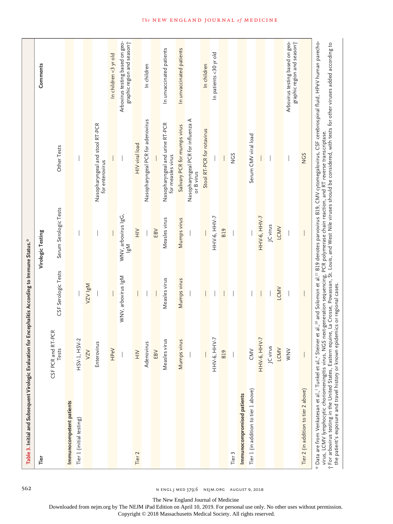| Table 3. Initial and Subsequent Virologic Evaluation for Encephalitis According to Immune Status."                                                                                                                                                          |                                |                              |                                        |                                                                                                                                                                                                                                                                                                                                                         |                                                                           |
|-------------------------------------------------------------------------------------------------------------------------------------------------------------------------------------------------------------------------------------------------------------|--------------------------------|------------------------------|----------------------------------------|---------------------------------------------------------------------------------------------------------------------------------------------------------------------------------------------------------------------------------------------------------------------------------------------------------------------------------------------------------|---------------------------------------------------------------------------|
| Tier                                                                                                                                                                                                                                                        |                                |                              | Virologic Testing                      |                                                                                                                                                                                                                                                                                                                                                         | Comments                                                                  |
|                                                                                                                                                                                                                                                             | RT-PCR<br>CSF PCR and<br>Tests | CSF Serologic Tests          | Serum Serologic Tests                  | Other Tests                                                                                                                                                                                                                                                                                                                                             |                                                                           |
| Immunocompetent patients                                                                                                                                                                                                                                    |                                |                              |                                        |                                                                                                                                                                                                                                                                                                                                                         |                                                                           |
| Tier 1 (initial testing)                                                                                                                                                                                                                                    | ISV-2<br>$HSV-1, H$            |                              |                                        |                                                                                                                                                                                                                                                                                                                                                         |                                                                           |
|                                                                                                                                                                                                                                                             | VZV                            | N5I AZA                      |                                        |                                                                                                                                                                                                                                                                                                                                                         |                                                                           |
|                                                                                                                                                                                                                                                             | Enterovirus                    |                              |                                        | Nasopharyngeal and stool RT-PCR<br>for enterovirus                                                                                                                                                                                                                                                                                                      |                                                                           |
|                                                                                                                                                                                                                                                             | <b>HPeV</b>                    |                              |                                        |                                                                                                                                                                                                                                                                                                                                                         | In children <3 yr old                                                     |
|                                                                                                                                                                                                                                                             |                                | WNV, arbovirus IgM           | WNV, arbovirus IgG,<br>Ni <sup>8</sup> |                                                                                                                                                                                                                                                                                                                                                         | Arbovirus testing based on geo-<br>graphic region and season              |
| Tier <sub>2</sub>                                                                                                                                                                                                                                           | $\geqq$                        |                              | $\geq$                                 | HIV viral load                                                                                                                                                                                                                                                                                                                                          |                                                                           |
|                                                                                                                                                                                                                                                             | Adenovirus                     |                              |                                        | Nasopharyngeal PCR for adenovirus                                                                                                                                                                                                                                                                                                                       | In children                                                               |
|                                                                                                                                                                                                                                                             | EBV                            |                              | EBV                                    |                                                                                                                                                                                                                                                                                                                                                         |                                                                           |
|                                                                                                                                                                                                                                                             | Measles virus                  | Measles virus                | Measles virus                          | Nasopharyngeal and urine RT-PCR<br>for measles virus                                                                                                                                                                                                                                                                                                    | In unvaccinated patients                                                  |
|                                                                                                                                                                                                                                                             | Mumps virus                    | Mumps virus                  | Mumps virus                            | Salivary PCR for mumps virus                                                                                                                                                                                                                                                                                                                            | In unvaccinated patients                                                  |
|                                                                                                                                                                                                                                                             |                                |                              |                                        | Nasopharyngeal PCR for influenza A<br>or B virus                                                                                                                                                                                                                                                                                                        |                                                                           |
|                                                                                                                                                                                                                                                             |                                |                              |                                        | Stool RT-PCR for rotavirus                                                                                                                                                                                                                                                                                                                              | In children                                                               |
|                                                                                                                                                                                                                                                             | IHV-7<br>ННУ-6, Н              |                              | HHV-6, HHV-7                           |                                                                                                                                                                                                                                                                                                                                                         | In patients <30 yr old                                                    |
|                                                                                                                                                                                                                                                             | <b>B19</b>                     |                              | <b>B19</b>                             |                                                                                                                                                                                                                                                                                                                                                         |                                                                           |
| Tier 3                                                                                                                                                                                                                                                      |                                |                              |                                        | S<br>S                                                                                                                                                                                                                                                                                                                                                  |                                                                           |
| Immunocompromised patients                                                                                                                                                                                                                                  |                                |                              |                                        |                                                                                                                                                                                                                                                                                                                                                         |                                                                           |
| Tier 1 (in addition to tier 1 above)                                                                                                                                                                                                                        | CMV                            |                              |                                        | Serum CMV viral load                                                                                                                                                                                                                                                                                                                                    |                                                                           |
|                                                                                                                                                                                                                                                             | HHV-6, HHV-7                   |                              | HHV-6, HHV-7                           |                                                                                                                                                                                                                                                                                                                                                         |                                                                           |
|                                                                                                                                                                                                                                                             | JC virus                       |                              | JC virus                               |                                                                                                                                                                                                                                                                                                                                                         |                                                                           |
|                                                                                                                                                                                                                                                             | LCMV                           | LCMV                         | LCMV                                   |                                                                                                                                                                                                                                                                                                                                                         |                                                                           |
|                                                                                                                                                                                                                                                             | WNV                            |                              |                                        |                                                                                                                                                                                                                                                                                                                                                         | graphic region and season <sup>+</sup><br>Arbovirus testing based on geo- |
| Tier 2 (in addition to tier 2 above)                                                                                                                                                                                                                        |                                |                              |                                        | <b>NGS</b>                                                                                                                                                                                                                                                                                                                                              |                                                                           |
| virus, LCMV lymphocytic choriomeningitis virus, NGS next-generation sequencing, PCR polymerase chain reaction, and RT reverse transcriptase.<br>t For arbovirus testing in the United States, Eastern<br>the patient's exposure and travel history or known |                                | epidemics or regional cases. |                                        | * Data are from Venkatesan et al.," Tunkel et al.," Steiner et al., <sup>20</sup> and Solomon et al. <sup>21</sup> B19 denotes parvovirus B19, CMV cytomegalovirus, CSF cerebrospinal fluid, HPeV human parecho-<br>equine, La Crosse, Powassan, St. Louis, and West Nile viruses should be considered, with tests for other viruses added according to |                                                                           |

562 n engl j med 379;6 nejm.org August 9, 2018

The New England Journal of Medicine

Downloaded from nejm.org by The NEJM iPad Edition on April 10, 2019. For personal use only. No other uses without permission.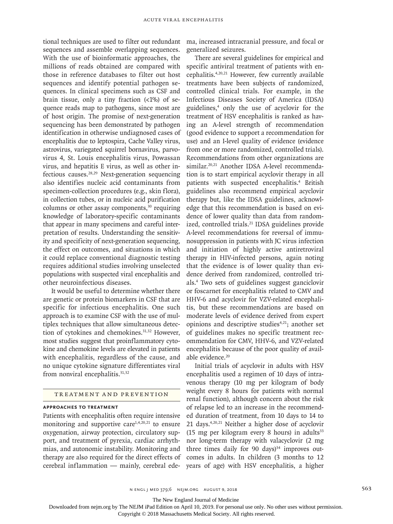tional techniques are used to filter out redundant sequences and assemble overlapping sequences. With the use of bioinformatic approaches, the millions of reads obtained are compared with those in reference databases to filter out host sequences and identify potential pathogen sequences. In clinical specimens such as CSF and brain tissue, only a tiny fraction  $\left($  <1%) of sequence reads map to pathogens, since most are of host origin. The promise of next-generation sequencing has been demonstrated by pathogen identification in otherwise undiagnosed cases of encephalitis due to leptospira, Cache Valley virus, astrovirus, variegated squirrel bornavirus, parvovirus 4, St. Louis encephalitis virus, Powassan virus, and hepatitis E virus, as well as other infectious causes.28,29 Next-generation sequencing also identifies nucleic acid contaminants from specimen-collection procedures (e.g., skin flora), in collection tubes, or in nucleic acid purification columns or other assay components, $30$  requiring knowledge of laboratory-specific contaminants that appear in many specimens and careful interpretation of results. Understanding the sensitivity and specificity of next-generation sequencing, the effect on outcomes, and situations in which it could replace conventional diagnostic testing requires additional studies involving unselected populations with suspected viral encephalitis and other neuroinfectious diseases.

It would be useful to determine whether there are genetic or protein biomarkers in CSF that are specific for infectious encephalitis. One such approach is to examine CSF with the use of multiplex techniques that allow simultaneous detection of cytokines and chemokines.<sup>31,32</sup> However, most studies suggest that proinflammatory cytokine and chemokine levels are elevated in patients with encephalitis, regardless of the cause, and no unique cytokine signature differentiates viral from nonviral encephalitis.<sup>31,32</sup>

# Treatment and Prevention

# **Approaches to Treatment**

Patients with encephalitis often require intensive monitoring and supportive care $1,4,20,21$  to ensure oxygenation, airway protection, circulatory support, and treatment of pyrexia, cardiac arrhythmias, and autonomic instability. Monitoring and therapy are also required for the direct effects of cerebral inflammation — mainly, cerebral ede-

ma, increased intracranial pressure, and focal or generalized seizures.

There are several guidelines for empirical and specific antiviral treatment of patients with encephalitis.4,20,21 However, few currently available treatments have been subjects of randomized, controlled clinical trials. For example, in the Infectious Diseases Society of America (IDSA) guidelines,4 only the use of acyclovir for the treatment of HSV encephalitis is ranked as having an A-level strength of recommendation (good evidence to support a recommendation for use) and an I-level quality of evidence (evidence from one or more randomized, controlled trials). Recommendations from other organizations are similar.<sup>20,21</sup> Another IDSA A-level recommendation is to start empirical acyclovir therapy in all patients with suspected encephalitis.<sup>4</sup> British guidelines also recommend empirical acyclovir therapy but, like the IDSA guidelines, acknowledge that this recommendation is based on evidence of lower quality than data from randomized, controlled trials.<sup>21</sup> IDSA guidelines provide A-level recommendations for reversal of immunosuppression in patients with JC virus infection and initiation of highly active antiretroviral therapy in HIV-infected persons, again noting that the evidence is of lower quality than evidence derived from randomized, controlled trials.4 Two sets of guidelines suggest ganciclovir or foscarnet for encephalitis related to CMV and HHV-6 and acyclovir for VZV-related encephalitis, but these recommendations are based on moderate levels of evidence derived from expert opinions and descriptive studies $4,21$ ; another set of guidelines makes no specific treatment recommendation for CMV, HHV-6, and VZV-related encephalitis because of the poor quality of available evidence.<sup>20</sup>

Initial trials of acyclovir in adults with HSV encephalitis used a regimen of 10 days of intravenous therapy (10 mg per kilogram of body weight every 8 hours for patients with normal renal function), although concern about the risk of relapse led to an increase in the recommended duration of treatment, from 10 days to 14 to 21 days.4,20,21 Neither a higher dose of acyclovir (15 mg per kilogram every 8 hours) in adults $33$ nor long-term therapy with valacyclovir (2 mg three times daily for 90 days $)^{34}$  improves outcomes in adults. In children (3 months to 12 years of age) with HSV encephalitis, a higher

n engl j med 379;6 nejm.org August 9, 2018 563

The New England Journal of Medicine

Downloaded from nejm.org by The NEJM iPad Edition on April 10, 2019. For personal use only. No other uses without permission.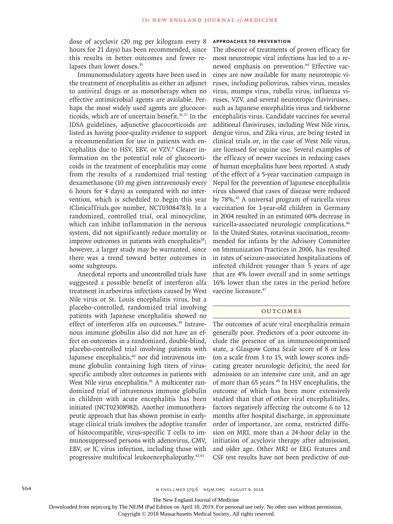dose of acyclovir (20 mg per kilogram every 8 hours for 21 days) has been recommended, since this results in better outcomes and fewer relapses than lower doses.<sup>35</sup>

Immunomodulatory agents have been used in the treatment of encephalitis as either an adjunct to antiviral drugs or as monotherapy when no effective antimicrobial agents are available. Perhaps the most widely used agents are glucocorticoids, which are of uncertain benefit.<sup>36,37</sup> In the IDSA guidelines, adjunctive glucocorticoids are listed as having poor-quality evidence to support a recommendation for use in patients with encephalitis due to HSV, EBV, or VZV.<sup>4</sup> Clearer information on the potential role of glucocorticoids in the treatment of encephalitis may come from the results of a randomized trial testing dexamethasone (10 mg given intravenously every 6 hours for 4 days) as compared with no intervention, which is scheduled to begin this year (ClinicalTrials.gov number, NCT03084783). In a randomized, controlled trial, oral minocycline, which can inhibit inflammation in the nervous system, did not significantly reduce mortality or improve outcomes in patients with encephalitis<sup>38</sup>; however, a larger study may be warranted, since there was a trend toward better outcomes in some subgroups.

Anecdotal reports and uncontrolled trials have suggested a possible benefit of interferon alfa treatment in arbovirus infections caused by West Nile virus or St. Louis encephalitis virus, but a placebo-controlled, randomized trial involving patients with Japanese encephalitis showed no effect of interferon alfa on outcomes.<sup>39</sup> Intravenous immune globulin also did not have an effect on outcomes in a randomized, double-blind, placebo-controlled trial involving patients with Japanese encephalitis,<sup>40</sup> nor did intravenous immune globulin containing high titers of virusspecific antibody alter outcomes in patients with West Nile virus encephalitis.<sup>41</sup> A multicenter randomized trial of intravenous immune globulin in children with acute encephalitis has been initiated (NCT02308982). Another immunotherapeutic approach that has shown promise in earlystage clinical trials involves the adoptive transfer of histocompatible, virus-specific T cells to immunosuppressed persons with adenovirus, CMV, EBV, or JC virus infection, including those with progressive multifocal leukoencephalopathy.<sup>42,43</sup>

#### **Approaches to Prevention**

The absence of treatments of proven efficacy for most neurotropic viral infections has led to a renewed emphasis on prevention.<sup>44</sup> Effective vaccines are now available for many neurotropic viruses, including poliovirus, rabies virus, measles virus, mumps virus, rubella virus, influenza viruses, VZV, and several neurotropic flaviviruses, such as Japanese encephalitis virus and tickborne encephalitis virus. Candidate vaccines for several additional flaviviruses, including West Nile virus, dengue virus, and Zika virus, are being tested in clinical trials or, in the case of West Nile virus, are licensed for equine use. Several examples of the efficacy of newer vaccines in reducing cases of human encephalitis have been reported. A study of the effect of a 5-year vaccination campaign in Nepal for the prevention of Japanese encephalitis virus showed that cases of disease were reduced by 78%.45 A universal program of varicella virus vaccination for 1-year-old children in Germany in 2004 resulted in an estimated 60% decrease in varicella-associated neurologic complications.46 In the United States, rotavirus vaccination, recommended for infants by the Advisory Committee on Immunization Practices in 2006, has resulted in rates of seizure-associated hospitalizations of infected children younger than 5 years of age that are 4% lower overall and in some settings 16% lower than the rates in the period before vaccine licensure.47

#### **OUTCOMES**

The outcomes of acute viral encephalitis remain generally poor. Predictors of a poor outcome include the presence of an immunocompromised state, a Glasgow Coma Scale score of 8 or less (on a scale from 3 to 15, with lower scores indicating greater neurologic deficits), the need for admission to an intensive care unit, and an age of more than 65 years.48 In HSV encephalitis, the outcome of which has been more extensively studied than that of other viral encephalitides, factors negatively affecting the outcome 6 to 12 months after hospital discharge, in approximate order of importance, are coma, restricted diffusion on MRI, more than a 24-hour delay in the initiation of acyclovir therapy after admission, and older age. Other MRI or EEG features and CSF test results have not been predictive of out-

The New England Journal of Medicine

Downloaded from nejm.org by The NEJM iPad Edition on April 10, 2019. For personal use only. No other uses without permission.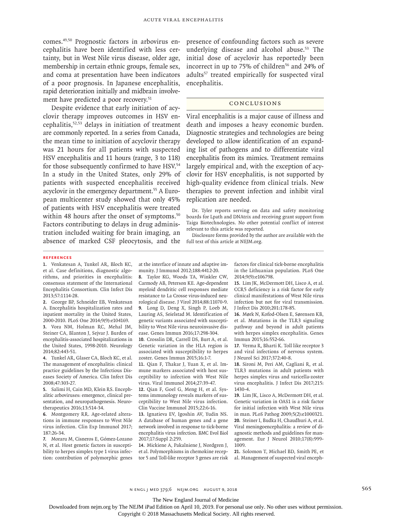comes.49,50 Prognostic factors in arbovirus encephalitis have been identified with less certainty, but in West Nile virus disease, older age, membership in certain ethnic groups, female sex, and coma at presentation have been indicators of a poor prognosis. In Japanese encephalitis, rapid deterioration initially and midbrain involvement have predicted a poor recovery.<sup>51</sup>

Despite evidence that early initiation of acyclovir therapy improves outcomes in HSV encephalitis,52,53 delays in initiation of treatment are commonly reported. In a series from Canada, the mean time to initiation of acyclovir therapy was 21 hours for all patients with suspected HSV encephalitis and 11 hours (range, 3 to 118) for those subsequently confirmed to have HSV.<sup>54</sup> In a study in the United States, only 29% of patients with suspected encephalitis received acyclovir in the emergency department.<sup>55</sup> A European multicenter study showed that only 45% of patients with HSV encephalitis were treated within 48 hours after the onset of symptoms.<sup>50</sup> Factors contributing to delays in drug administration included waiting for brain imaging, an absence of marked CSF pleocytosis, and the presence of confounding factors such as severe underlying disease and alcohol abuse.<sup>53</sup> The initial dose of acyclovir has reportedly been incorrect in up to 75% of children<sup>56</sup> and 24% of adults<sup>57</sup> treated empirically for suspected viral encephalitis.

# Conclusions

Viral encephalitis is a major cause of illness and death and imposes a heavy economic burden. Diagnostic strategies and technologies are being developed to allow identification of an expanding list of pathogens and to differentiate viral encephalitis from its mimics. Treatment remains largely empirical and, with the exception of acyclovir for HSV encephalitis, is not supported by high-quality evidence from clinical trials. New therapies to prevent infection and inhibit viral replication are needed.

Dr. Tyler reports serving on data and safety monitoring boards for Lpath and DNAtrix and receiving grant support from Taiga Biotechnologies. No other potential conflict of interest relevant to this article was reported.

Disclosure forms provided by the author are available with the full text of this article at NEJM.org.

#### **References**

**1.** Venkatesan A, Tunkel AR, Bloch KC, et al. Case definitions, diagnostic algorithms, and priorities in encephalitis: consensus statement of the International Encephalitis Consortium. Clin Infect Dis 2013;57:1114-28.

**2.** George BP, Schneider EB, Venkatesan A. Encephalitis hospitalization rates and inpatient mortality in the United States, 2000-2010. PLoS One 2014;9(9):e104169.

**3.** Vora NM, Holman RC, Mehal JM, Steiner CA, Blanton J, Sejvar J. Burden of encephalitis-associated hospitalizations in the United States, 1998-2010. Neurology 2014;82:443-51.

**4.** Tunkel AR, Glaser CA, Bloch KC, et al. The management of encephalitis: clinical practice guidelines by the Infectious Diseases Society of America. Clin Infect Dis 2008;47:303-27.

**5.** Salimi H, Cain MD, Klein RS. Encephalitic arboviruses: emergence, clinical presentation, and neuropathogenesis. Neurotherapeutics 2016;13:514-34.

**6.** Montgomery RR. Age-related alterations in immune responses to West Nile virus infection. Clin Exp Immunol 2017; 187:26-34.

**7.** Moraru M, Cisneros E, Gómez-Lozano N, et al. Host genetic factors in susceptibility to herpes simplex type 1 virus infection: contribution of polymorphic genes at the interface of innate and adaptive immunity. J Immunol 2012;188:4412-20.

**8.** Taylor KG, Woods TA, Winkler CW, Carmody AB, Peterson KE. Age-dependent myeloid dendritic cell responses mediate resistance to La Crosse virus-induced neurological disease. J Virol 2014;88:11070-9. **9.** Long D, Deng X, Singh P, Loeb M, Lauring AS, Seielstad M. Identification of genetic variants associated with susceptibility to West Nile virus neuroinvasive disease. Genes Immun 2016;17:298-304.

**10.** Crosslin DR, Carrell DS, Burt A, et al. Genetic variation in the HLA region is associated with susceptibility to herpes zoster. Genes Immun 2015;16:1-7.

**11.** Qian F, Thakar J, Yuan X, et al. Immune markers associated with host susceptibility to infection with West Nile virus. Viral Immunol 2014;27:39-47.

**12.** Qian F, Goel G, Meng H, et al. Systems immunology reveals markers of susceptibility to West Nile virus infection. Clin Vaccine Immunol 2015;22:6-16.

**13.** Ignatieva EV, Igoshin AV, Yudin NS. A database of human genes and a gene network involved in response to tick-borne encephalitis virus infection. BMC Evol Biol 2017;17:Suppl 2:259.

**14.** Mickiene A, Pakalniene J, Nordgren J, et al. Polymorphisms in chemokine receptor 5 and Toll-like receptor 3 genes are risk factors for clinical tick-borne encephalitis in the Lithuanian population. PLoS One 2014;9(9):e106798.

**15.** Lim JK, McDermott DH, Lisco A, et al. CCR5 deficiency is a risk factor for early clinical manifestations of West Nile virus infection but not for viral transmission. J Infect Dis 2010;201:178-85.

**16.** Mørk N, Kofod-Olsen E, Sørensen KB, et al. Mutations in the TLR3 signaling pathway and beyond in adult patients with herpes simplex encephalitis. Genes Immun 2015;16:552-66.

**17.** Verma R, Bharti K. Toll like receptor 3 and viral infections of nervous system. J Neurol Sci 2017;372:40-8.

**18.** Sironi M, Peri AM, Cagliani R, et al. TLR3 mutations in adult patients with herpes simplex virus and varicella-zoster virus encephalitis. J Infect Dis 2017;215: 1430-4.

**19.** Lim JK, Lisco A, McDermott DH, et al. Genetic variation in OAS1 is a risk factor for initial infection with West Nile virus in man. PLoS Pathog 2009;5(2):e1000321. **20.** Steiner I, Budka H, Chaudhuri A, et al. Viral meningoencephalitis: a review of diagnostic methods and guidelines for management. Eur J Neurol 2010;17(8):999-1009.

**21.** Solomon T, Michael BD, Smith PE, et al. Management of suspected viral enceph-

n engl j med 379;6 nejm.org August 9, 2018 565

The New England Journal of Medicine

Downloaded from nejm.org by The NEJM iPad Edition on April 10, 2019. For personal use only. No other uses without permission.